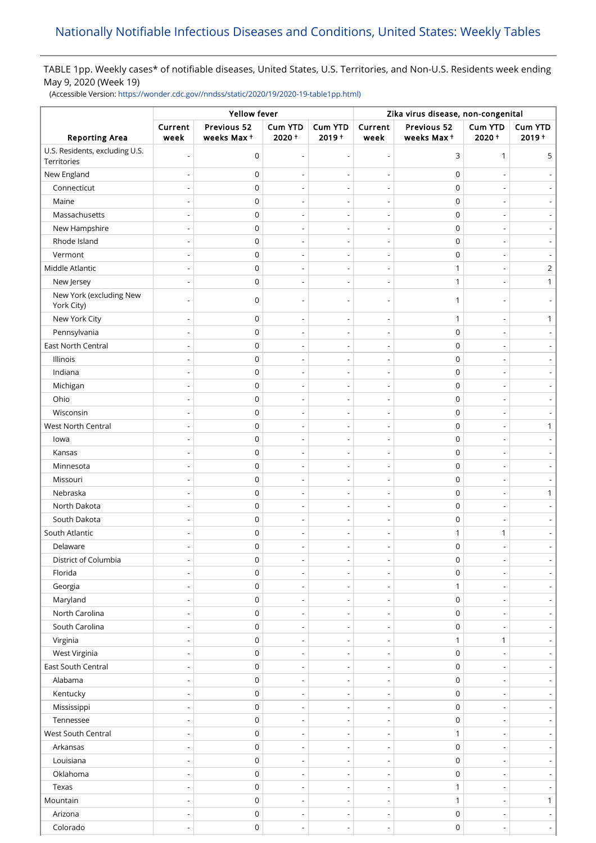## TABLE 1pp. Weekly cases\* of notifiable diseases, United States, U.S. Territories, and Non-U.S. Residents week ending May 9, 2020 (Week 19)

(Accessible Version: [https://wonder.cdc.gov//nndss/static/2020/19/2020-19-table1pp.html\)](https://wonder.cdc.gov//nndss/static/2020/19/2020-19-table1pp.html)

|                                               | Yellow fever             |                           |                          |                              | Zika virus disease, non-congenital |                           |                          |                          |
|-----------------------------------------------|--------------------------|---------------------------|--------------------------|------------------------------|------------------------------------|---------------------------|--------------------------|--------------------------|
| <b>Reporting Area</b>                         | Current<br>week          | Previous 52<br>weeks Max+ | Cum YTD<br>$2020 +$      | <b>Cum YTD</b><br>$2019 +$   | Current<br>week                    | Previous 52<br>weeks Max+ | Cum YTD<br>2020+         | Cum YTD<br>$2019 +$      |
| U.S. Residents, excluding U.S.<br>Territories |                          | 0                         | ÷,                       |                              | $\overline{\phantom{a}}$           | 3                         | 1                        | 5                        |
| New England                                   |                          | $\mathbf 0$               |                          |                              |                                    | $\mathbf 0$               |                          |                          |
| Connecticut                                   |                          | $\mathbf 0$               |                          |                              | $\overline{\phantom{a}}$           | $\mathbf 0$               |                          |                          |
| Maine                                         |                          | $\mathbf 0$               |                          |                              |                                    | $\pmb{0}$                 |                          |                          |
| Massachusetts                                 |                          | $\mathbf 0$               | $\overline{a}$           | $\overline{a}$               | $\overline{\phantom{a}}$           | $\mathbf 0$               |                          |                          |
| New Hampshire                                 |                          | 0                         |                          |                              |                                    | $\pmb{0}$                 |                          |                          |
| Rhode Island                                  |                          | $\mathbf 0$               | $\overline{\phantom{a}}$ | $\overline{a}$               | $\overline{\phantom{a}}$           | $\mathbf 0$               |                          |                          |
| Vermont                                       |                          | 0                         | $\overline{a}$           |                              | ÷,                                 | $\mathbf 0$               |                          |                          |
| Middle Atlantic                               |                          | $\mathbf 0$               | $\overline{\phantom{a}}$ | $\overline{a}$               | $\overline{\phantom{a}}$           | 1                         |                          | 2                        |
| New Jersey                                    |                          | 0                         | $\overline{\phantom{a}}$ |                              |                                    | 1                         |                          | 1                        |
| New York (excluding New<br>York City)         |                          | $\mathbf 0$               |                          |                              |                                    | 1                         |                          |                          |
| New York City                                 |                          | $\mathsf 0$               |                          |                              | $\overline{\phantom{a}}$           | $\mathbf{1}$              |                          | 1                        |
| Pennsylvania                                  |                          | $\mathbf 0$               | $\overline{a}$           |                              | $\overline{\phantom{a}}$           | $\mathbf 0$               |                          |                          |
| East North Central                            |                          | $\mathbf 0$               | ÷                        |                              | $\overline{\phantom{a}}$           | $\pmb{0}$                 |                          |                          |
| Illinois                                      |                          | $\mathbf 0$               | $\overline{a}$           | $\overline{a}$               | $\overline{\phantom{a}}$           | $\mathbf 0$               |                          |                          |
| Indiana                                       |                          | 0                         |                          |                              |                                    | $\pmb{0}$                 |                          |                          |
| Michigan                                      |                          | $\mathbf 0$               | $\overline{\phantom{a}}$ |                              | $\overline{\phantom{a}}$           | $\mathbf 0$               |                          |                          |
| Ohio                                          |                          | 0                         | $\overline{a}$           |                              |                                    | $\mathbf 0$               |                          |                          |
| Wisconsin                                     |                          | $\mathbf 0$               | $\overline{\phantom{a}}$ | $\overline{a}$               | $\overline{\phantom{a}}$           | $\mathbf 0$               |                          |                          |
| West North Central                            |                          | 0                         |                          |                              |                                    | $\mathbf 0$               |                          | 1                        |
| lowa                                          |                          | 0                         | $\overline{\phantom{a}}$ | $\overline{a}$               | $\overline{\phantom{a}}$           | $\mathbf 0$               |                          |                          |
| Kansas                                        |                          | $\mathbf 0$               | $\overline{\phantom{a}}$ |                              | $\overline{\phantom{a}}$           | $\mathbf 0$               |                          |                          |
| Minnesota                                     |                          | $\mathbf 0$               | $\overline{a}$           | $\overline{a}$               | $\overline{\phantom{0}}$           | $\mathbf 0$               |                          |                          |
| Missouri                                      |                          | 0                         | $\overline{a}$           | $\overline{a}$               | $\overline{\phantom{a}}$           | $\mathbf 0$               |                          |                          |
| Nebraska                                      |                          | $\mathsf 0$               |                          |                              |                                    | $\pmb{0}$                 |                          | 1                        |
| North Dakota                                  |                          | $\mathbf 0$               | $\overline{\phantom{a}}$ |                              | $\overline{\phantom{a}}$           | $\mathbf 0$               |                          |                          |
| South Dakota                                  |                          | $\mathsf 0$               |                          |                              |                                    | $\mathbf 0$               |                          |                          |
| South Atlantic                                |                          | $\mathbf 0$               | $\overline{a}$           |                              |                                    | 1                         | 1                        |                          |
| Delaware                                      |                          | 0                         |                          |                              |                                    | 0                         |                          |                          |
| District of Columbia                          |                          | $\boldsymbol{0}$          | $\overline{\phantom{a}}$ |                              |                                    | $\pmb{0}$                 |                          |                          |
| Florida                                       |                          | 0                         | $\overline{a}$           |                              | $\overline{\phantom{a}}$           | 0                         |                          |                          |
| Georgia                                       |                          | $\mathsf 0$               | $\overline{\phantom{a}}$ | $\overline{\phantom{a}}$     | $\overline{\phantom{a}}$           | $\mathbf{1}$              |                          | $\overline{\phantom{a}}$ |
| Maryland                                      |                          | $\mathbf 0$               | $\overline{\phantom{a}}$ | $\overline{\phantom{a}}$     | $\overline{\phantom{a}}$           | $\boldsymbol{0}$          |                          | $\overline{\phantom{0}}$ |
| North Carolina                                |                          | $\mathsf 0$               | $\overline{\phantom{a}}$ | $\overline{\phantom{a}}$     | $\overline{\phantom{a}}$           | $\mathbf 0$               |                          |                          |
| South Carolina                                |                          | 0                         | $\overline{\phantom{a}}$ | $\overline{\phantom{0}}$     | $\overline{a}$                     | $\mathbf 0$               |                          |                          |
| Virginia                                      |                          | $\mathsf 0$               | $\overline{a}$           |                              | $\overline{\phantom{0}}$           | $\mathbf{1}$              | $\mathbf{1}$             |                          |
| West Virginia                                 |                          | $\mathsf 0$               | $\overline{\phantom{a}}$ | $\overline{\phantom{0}}$     | $\overline{\phantom{a}}$           | $\pmb{0}$                 |                          | $\overline{\phantom{a}}$ |
| East South Central                            |                          | $\mathbf 0$               |                          |                              | $\overline{\phantom{a}}$           | $\pmb{0}$                 |                          |                          |
| Alabama                                       |                          | $\mathsf 0$               | $\overline{\phantom{a}}$ | $\qquad \qquad \blacksquare$ | $\overline{\phantom{m}}$           | $\mathbf 0$               |                          | $\overline{\phantom{a}}$ |
| Kentucky                                      |                          | $\mathbf 0$               | $\overline{a}$           |                              | $\overline{\phantom{0}}$           | $\mathsf 0$               |                          |                          |
| Mississippi                                   | $\overline{\phantom{a}}$ | $\mathsf 0$               | $\overline{\phantom{a}}$ | $\overline{a}$               | $\overline{\phantom{m}}$           | $\mathbf 0$               |                          | $\overline{\phantom{a}}$ |
| Tennessee                                     |                          | $\mathbf 0$               | $\overline{a}$           |                              |                                    | $\mathbf 0$               |                          | $\overline{\phantom{0}}$ |
| West South Central                            |                          | $\mathsf 0$               | $\overline{\phantom{a}}$ | $\qquad \qquad \blacksquare$ | $\overline{\phantom{m}}$           | 1                         |                          |                          |
| Arkansas                                      |                          | $\mathsf 0$               | $\overline{\phantom{a}}$ | $\overline{\phantom{0}}$     | $\overline{\phantom{a}}$           | $\mathbf 0$               |                          |                          |
| Louisiana                                     |                          | $\mathsf 0$               | $\overline{\phantom{a}}$ | $\overline{\phantom{a}}$     | $\overline{\phantom{a}}$           | $\mathbf 0$               |                          |                          |
| Oklahoma                                      |                          | $\mathsf 0$               | $\overline{\phantom{a}}$ | $\overline{\phantom{0}}$     | $\overline{\phantom{a}}$           | $\mathbf 0$               |                          | $\overline{\phantom{a}}$ |
| Texas                                         |                          | $\mathbf 0$               | $\overline{a}$           |                              | $\overline{\phantom{a}}$           | $\mathbf{1}$              |                          |                          |
| Mountain                                      |                          | $\mathbf 0$               | $\overline{\phantom{a}}$ | $\overline{\phantom{0}}$     | $\overline{\phantom{a}}$           | $\mathbf{1}$              |                          | $\mathbf{1}$             |
| Arizona                                       |                          | $\mathsf 0$               | $\overline{a}$           | $\overline{\phantom{a}}$     | $\overline{\phantom{a}}$           | $\mathbf 0$               |                          |                          |
| Colorado                                      |                          | $\mathsf 0$               | $\overline{\phantom{a}}$ | $\overline{\phantom{a}}$     | $\overline{\phantom{m}}$           | $\mathbf 0$               | $\overline{\phantom{a}}$ | $\sim$                   |
|                                               |                          |                           |                          |                              |                                    |                           |                          |                          |